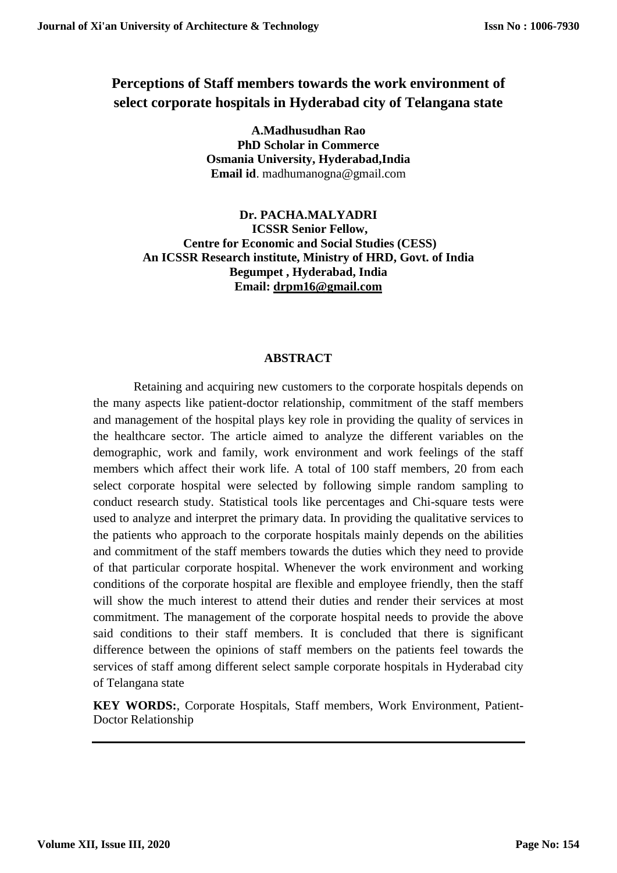# **Perceptions of Staff members towards the work environment of select corporate hospitals in Hyderabad city of Telangana state**

**A.Madhusudhan Rao PhD Scholar in Commerce Osmania University, Hyderabad,India Email id**. [madhumanogna@gmail.com](mailto:madhumanogna@gmail.com)

**Dr. PACHA.MALYADRI ICSSR Senior Fellow, Centre for Economic and Social Studies (CESS) An ICSSR Research institute, Ministry of HRD, Govt. of India Begumpet , Hyderabad, India Email: [drpm16@gmail.com](mailto:drpm16@gmail.com)**

## **ABSTRACT**

Retaining and acquiring new customers to the corporate hospitals depends on the many aspects like patient-doctor relationship, commitment of the staff members and management of the hospital plays key role in providing the quality of services in the healthcare sector. The article aimed to analyze the different variables on the demographic, work and family, work environment and work feelings of the staff members which affect their work life. A total of 100 staff members, 20 from each select corporate hospital were selected by following simple random sampling to conduct research study. Statistical tools like percentages and Chi-square tests were used to analyze and interpret the primary data. In providing the qualitative services to the patients who approach to the corporate hospitals mainly depends on the abilities and commitment of the staff members towards the duties which they need to provide of that particular corporate hospital. Whenever the work environment and working conditions of the corporate hospital are flexible and employee friendly, then the staff will show the much interest to attend their duties and render their services at most commitment. The management of the corporate hospital needs to provide the above said conditions to their staff members. It is concluded that there is significant difference between the opinions of staff members on the patients feel towards the services of staff among different select sample corporate hospitals in Hyderabad city of Telangana state

**KEY WORDS:**, Corporate Hospitals, Staff members, Work Environment, Patient-Doctor Relationship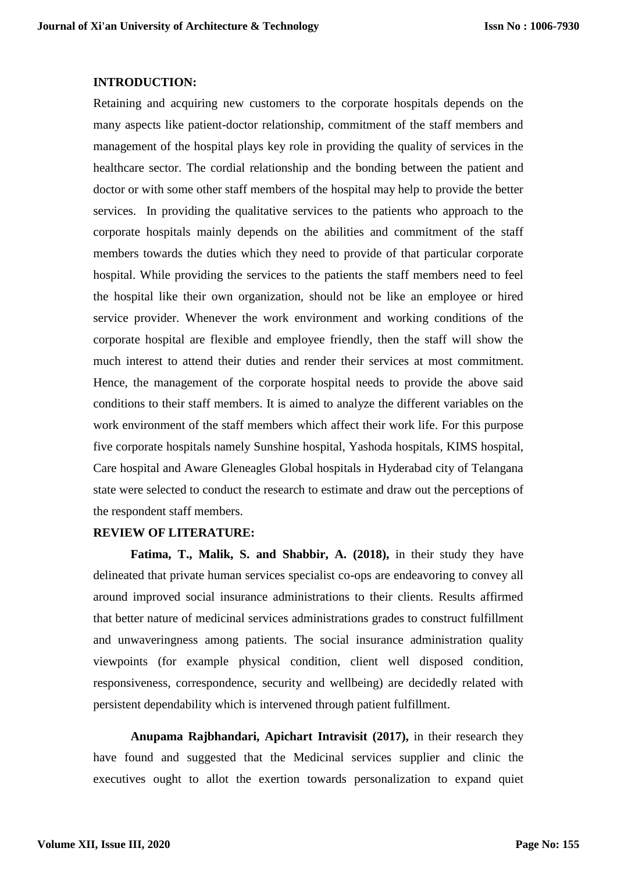#### **INTRODUCTION:**

Retaining and acquiring new customers to the corporate hospitals depends on the many aspects like patient-doctor relationship, commitment of the staff members and management of the hospital plays key role in providing the quality of services in the healthcare sector. The cordial relationship and the bonding between the patient and doctor or with some other staff members of the hospital may help to provide the better services. In providing the qualitative services to the patients who approach to the corporate hospitals mainly depends on the abilities and commitment of the staff members towards the duties which they need to provide of that particular corporate hospital. While providing the services to the patients the staff members need to feel the hospital like their own organization, should not be like an employee or hired service provider. Whenever the work environment and working conditions of the corporate hospital are flexible and employee friendly, then the staff will show the much interest to attend their duties and render their services at most commitment. Hence, the management of the corporate hospital needs to provide the above said conditions to their staff members. It is aimed to analyze the different variables on the work environment of the staff members which affect their work life. For this purpose five corporate hospitals namely Sunshine hospital, Yashoda hospitals, KIMS hospital, Care hospital and Aware Gleneagles Global hospitals in Hyderabad city of Telangana state were selected to conduct the research to estimate and draw out the perceptions of the respondent staff members.

## **REVIEW OF LITERATURE:**

**[Fatima, T.,](https://www.emerald.com/insight/search?q=Taqdees%20Fatima) [Malik, S.](https://www.emerald.com/insight/search?q=Shahab%20Alam%20Malik) and [Shabbir, A.](https://www.emerald.com/insight/search?q=Asma%20Shabbir) (2018),** in their study they have delineated that private human services specialist co-ops are endeavoring to convey all around improved social insurance administrations to their clients. Results affirmed that better nature of medicinal services administrations grades to construct fulfillment and unwaveringness among patients. The social insurance administration quality viewpoints (for example physical condition, client well disposed condition, responsiveness, correspondence, security and wellbeing) are decidedly related with persistent dependability which is intervened through patient fulfillment.

**Anupama Rajbhandari, Apichart Intravisit (2017),** in their research they have found and suggested that the Medicinal services supplier and clinic the executives ought to allot the exertion towards personalization to expand quiet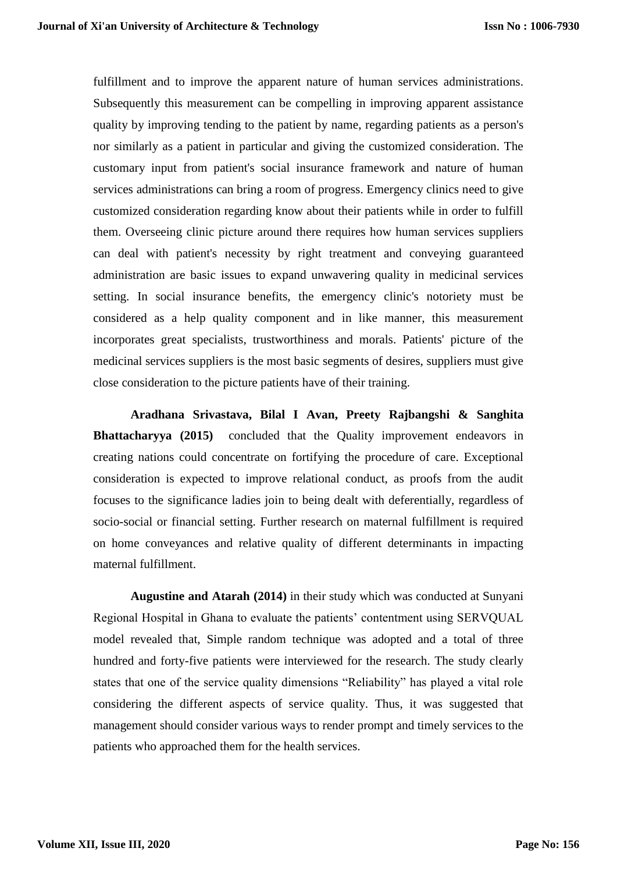fulfillment and to improve the apparent nature of human services administrations. Subsequently this measurement can be compelling in improving apparent assistance quality by improving tending to the patient by name, regarding patients as a person's nor similarly as a patient in particular and giving the customized consideration. The customary input from patient's social insurance framework and nature of human services administrations can bring a room of progress. Emergency clinics need to give customized consideration regarding know about their patients while in order to fulfill them. Overseeing clinic picture around there requires how human services suppliers can deal with patient's necessity by right treatment and conveying guaranteed administration are basic issues to expand unwavering quality in medicinal services setting. In social insurance benefits, the emergency clinic's notoriety must be considered as a help quality component and in like manner, this measurement incorporates great specialists, trustworthiness and morals. Patients' picture of the medicinal services suppliers is the most basic segments of desires, suppliers must give close consideration to the picture patients have of their training.

**[Aradhana Srivastava,](https://bmcpregnancychildbirth.biomedcentral.com/articles/10.1186/s12884-015-0525-0#auth-1) [Bilal I Avan,](https://bmcpregnancychildbirth.biomedcentral.com/articles/10.1186/s12884-015-0525-0#auth-2) [Preety Rajbangshi](https://bmcpregnancychildbirth.biomedcentral.com/articles/10.1186/s12884-015-0525-0#auth-3) & [Sanghita](https://bmcpregnancychildbirth.biomedcentral.com/articles/10.1186/s12884-015-0525-0#auth-4)  [Bhattacharyya](https://bmcpregnancychildbirth.biomedcentral.com/articles/10.1186/s12884-015-0525-0#auth-4) (2015)** concluded that the Quality improvement endeavors in creating nations could concentrate on fortifying the procedure of care. Exceptional consideration is expected to improve relational conduct, as proofs from the audit focuses to the significance ladies join to being dealt with deferentially, regardless of socio-social or financial setting. Further research on maternal fulfillment is required on home conveyances and relative quality of different determinants in impacting maternal fulfillment.

**Augustine and Atarah (2014)** in their study which was conducted at Sunyani Regional Hospital in Ghana to evaluate the patients' contentment using SERVQUAL model revealed that, Simple random technique was adopted and a total of three hundred and forty-five patients were interviewed for the research. The study clearly states that one of the service quality dimensions "Reliability" has played a vital role considering the different aspects of service quality. Thus, it was suggested that management should consider various ways to render prompt and timely services to the patients who approached them for the health services.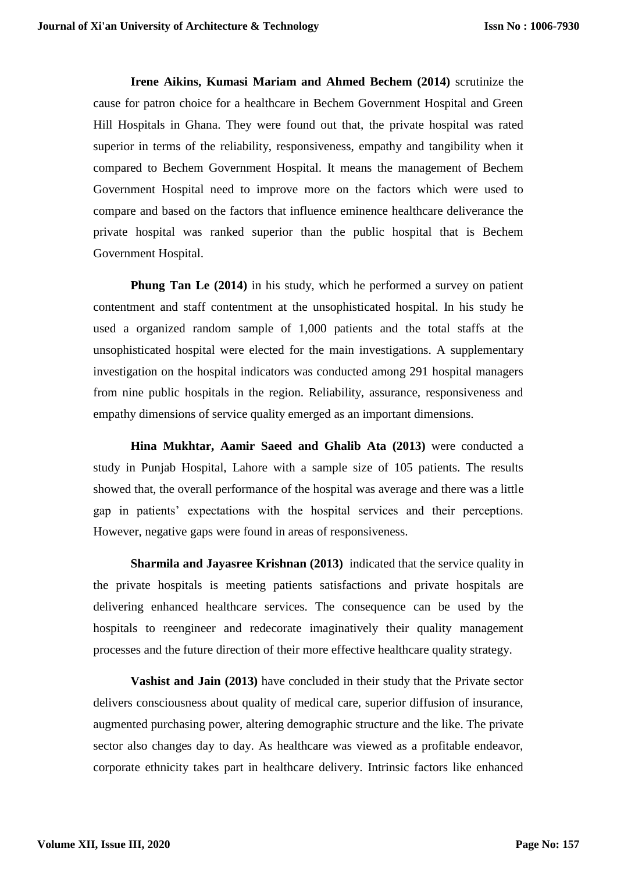**Irene Aikins, Kumasi Mariam and Ahmed Bechem (2014)** scrutinize the cause for patron choice for a healthcare in Bechem Government Hospital and Green Hill Hospitals in Ghana. They were found out that, the private hospital was rated superior in terms of the reliability, responsiveness, empathy and tangibility when it compared to Bechem Government Hospital. It means the management of Bechem Government Hospital need to improve more on the factors which were used to compare and based on the factors that influence eminence healthcare deliverance the private hospital was ranked superior than the public hospital that is Bechem Government Hospital.

**Phung Tan Le (2014)** in his study, which he performed a survey on patient contentment and staff contentment at the unsophisticated hospital. In his study he used a organized random sample of 1,000 patients and the total staffs at the unsophisticated hospital were elected for the main investigations. A supplementary investigation on the hospital indicators was conducted among 291 hospital managers from nine public hospitals in the region. Reliability, assurance, responsiveness and empathy dimensions of service quality emerged as an important dimensions.

**Hina Mukhtar, Aamir Saeed and Ghalib Ata (2013)** were conducted a study in Punjab Hospital, Lahore with a sample size of 105 patients. The results showed that, the overall performance of the hospital was average and there was a little gap in patients' expectations with the hospital services and their perceptions. However, negative gaps were found in areas of responsiveness.

**Sharmila and Jayasree Krishnan (2013)** indicated that the service quality in the private hospitals is meeting patients satisfactions and private hospitals are delivering enhanced healthcare services. The consequence can be used by the hospitals to reengineer and redecorate imaginatively their quality management processes and the future direction of their more effective healthcare quality strategy.

**Vashist and Jain (2013)** have concluded in their study that the Private sector delivers consciousness about quality of medical care, superior diffusion of insurance, augmented purchasing power, altering demographic structure and the like. The private sector also changes day to day. As healthcare was viewed as a profitable endeavor, corporate ethnicity takes part in healthcare delivery. Intrinsic factors like enhanced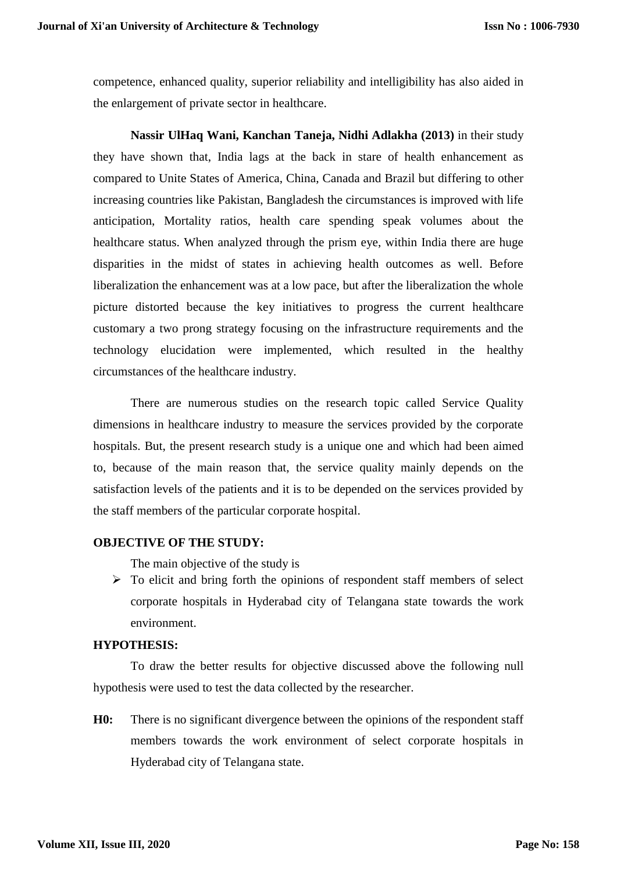competence, enhanced quality, superior reliability and intelligibility has also aided in the enlargement of private sector in healthcare.

**Nassir UlHaq Wani, Kanchan Taneja, Nidhi Adlakha (2013)** in their study they have shown that, India lags at the back in stare of health enhancement as compared to Unite States of America, China, Canada and Brazil but differing to other increasing countries like Pakistan, Bangladesh the circumstances is improved with life anticipation, Mortality ratios, health care spending speak volumes about the healthcare status. When analyzed through the prism eye, within India there are huge disparities in the midst of states in achieving health outcomes as well. Before liberalization the enhancement was at a low pace, but after the liberalization the whole picture distorted because the key initiatives to progress the current healthcare customary a two prong strategy focusing on the infrastructure requirements and the technology elucidation were implemented, which resulted in the healthy circumstances of the healthcare industry.

There are numerous studies on the research topic called Service Quality dimensions in healthcare industry to measure the services provided by the corporate hospitals. But, the present research study is a unique one and which had been aimed to, because of the main reason that, the service quality mainly depends on the satisfaction levels of the patients and it is to be depended on the services provided by the staff members of the particular corporate hospital.

## **OBJECTIVE OF THE STUDY:**

The main objective of the study is

 $\triangleright$  To elicit and bring forth the opinions of respondent staff members of select corporate hospitals in Hyderabad city of Telangana state towards the work environment.

# **HYPOTHESIS:**

To draw the better results for objective discussed above the following null hypothesis were used to test the data collected by the researcher.

**H0:** There is no significant divergence between the opinions of the respondent staff members towards the work environment of select corporate hospitals in Hyderabad city of Telangana state.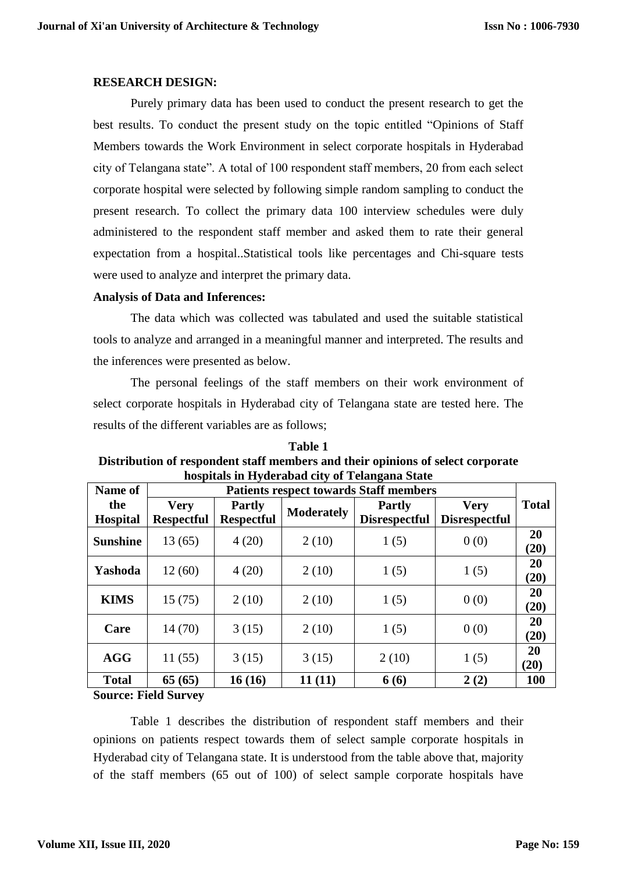#### **RESEARCH DESIGN:**

Purely primary data has been used to conduct the present research to get the best results. To conduct the present study on the topic entitled "Opinions of Staff Members towards the Work Environment in select corporate hospitals in Hyderabad city of Telangana state". A total of 100 respondent staff members, 20 from each select corporate hospital were selected by following simple random sampling to conduct the present research. To collect the primary data 100 interview schedules were duly administered to the respondent staff member and asked them to rate their general expectation from a hospital..Statistical tools like percentages and Chi-square tests were used to analyze and interpret the primary data.

## **Analysis of Data and Inferences:**

The data which was collected was tabulated and used the suitable statistical tools to analyze and arranged in a meaningful manner and interpreted. The results and the inferences were presented as below.

The personal feelings of the staff members on their work environment of select corporate hospitals in Hyderabad city of Telangana state are tested here. The results of the different variables are as follows;

**Table 1** 

|         | таше т                                                                          |  |
|---------|---------------------------------------------------------------------------------|--|
|         | Distribution of respondent staff members and their opinions of select corporate |  |
|         | hospitals in Hyderabad city of Telangana State                                  |  |
| Name of | Patients respect towards Staff members                                          |  |

| Name of                | <b>Patients respect towards Staff members</b> |                                    |                   |                                       |                                     |              |
|------------------------|-----------------------------------------------|------------------------------------|-------------------|---------------------------------------|-------------------------------------|--------------|
| the<br><b>Hospital</b> | <b>Very</b><br><b>Respectful</b>              | <b>Partly</b><br><b>Respectful</b> | <b>Moderately</b> | <b>Partly</b><br><b>Disrespectful</b> | <b>Very</b><br><b>Disrespectful</b> | <b>Total</b> |
| <b>Sunshine</b>        | 13 (65)                                       | 4(20)                              | 2(10)             | 1(5)                                  | 0(0)                                | 20<br>(20)   |
| Yashoda                | 12(60)                                        | 4(20)                              | 2(10)             | 1(5)                                  | 1(5)                                | 20<br>(20)   |
| <b>KIMS</b>            | 15(75)                                        | 2(10)                              | 2(10)             | 1(5)                                  | 0(0)                                | 20<br>(20)   |
| Care                   | 14(70)                                        | 3(15)                              | 2(10)             | 1(5)                                  | 0(0)                                | 20<br>(20)   |
| <b>AGG</b>             | 11(55)                                        | 3(15)                              | 3(15)             | 2(10)                                 | 1(5)                                | 20<br>(20)   |
| <b>Total</b>           | 65(65)                                        | 16(16)                             | 11(11)            | 6(6)                                  | 2(2)                                | 100          |

**Source: Field Survey**

Table 1 describes the distribution of respondent staff members and their opinions on patients respect towards them of select sample corporate hospitals in Hyderabad city of Telangana state. It is understood from the table above that, majority of the staff members (65 out of 100) of select sample corporate hospitals have

 $\blacksquare$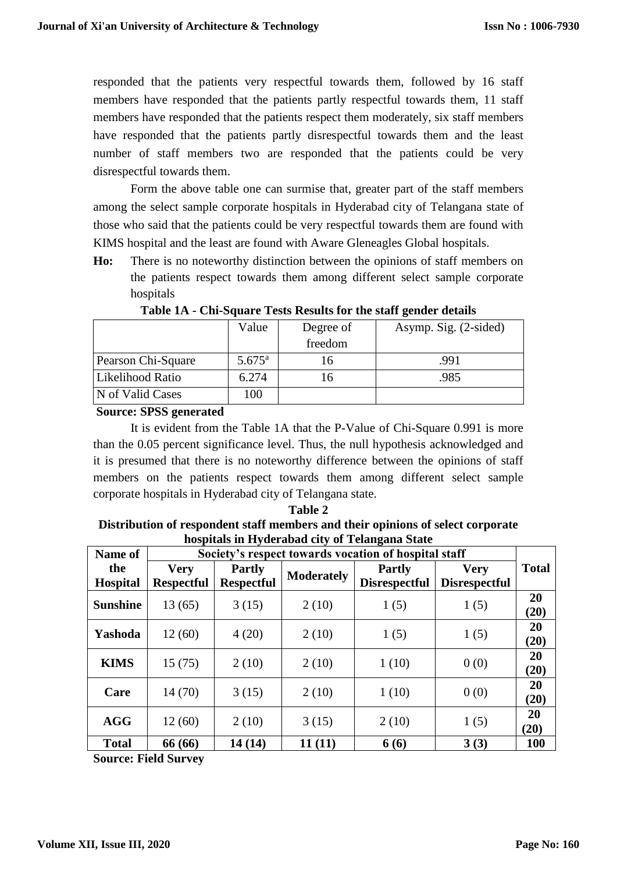responded that the patients very respectful towards them, followed by 16 staff members have responded that the patients partly respectful towards them, 11 staff members have responded that the patients respect them moderately, six staff members have responded that the patients partly disrespectful towards them and the least number of staff members two are responded that the patients could be very disrespectful towards them.

Form the above table one can surmise that, greater part of the staff members among the select sample corporate hospitals in Hyderabad city of Telangana state of those who said that the patients could be very respectful towards them are found with KIMS hospital and the least are found with Aware Gleneagles Global hospitals.

**Ho:** There is no noteworthy distinction between the opinions of staff members on the patients respect towards them among different select sample corporate hospitals

|                    | Value           | Degree of | Asymp. Sig. (2-sided) |
|--------------------|-----------------|-----------|-----------------------|
|                    |                 | freedom   |                       |
| Pearson Chi-Square | $5.675^{\rm a}$ | 16        | .991                  |
| Likelihood Ratio   | 6.274           | 16        | .985                  |
| N of Valid Cases   | 100             |           |                       |

**Table 1A - Chi-Square Tests Results for the staff gender details**

**Source: SPSS generated** 

It is evident from the Table 1A that the P-Value of Chi-Square 0.991 is more than the 0.05 percent significance level. Thus, the null hypothesis acknowledged and it is presumed that there is no noteworthy difference between the opinions of staff members on the patients respect towards them among different select sample corporate hospitals in Hyderabad city of Telangana state.

| Distribution of respondent staff members and their opinions of select corporate |
|---------------------------------------------------------------------------------|
| hospitals in Hyderabad city of Telangana State                                  |

**Table 2**

| Name of         | Society's respect towards vocation of hospital staff |                                    |                   |                                       |                                     |              |
|-----------------|------------------------------------------------------|------------------------------------|-------------------|---------------------------------------|-------------------------------------|--------------|
| the<br>Hospital | <b>Very</b><br><b>Respectful</b>                     | <b>Partly</b><br><b>Respectful</b> | <b>Moderately</b> | <b>Partly</b><br><b>Disrespectful</b> | <b>Very</b><br><b>Disrespectful</b> | <b>Total</b> |
| <b>Sunshine</b> | 13(65)                                               | 3(15)                              | 2(10)             | 1(5)                                  | 1(5)                                | 20<br>(20)   |
| Yashoda         | 12(60)                                               | 4(20)                              | 2(10)             | 1(5)                                  | 1(5)                                | 20<br>(20)   |
| <b>KIMS</b>     | 15(75)                                               | 2(10)                              | 2(10)             | 1(10)                                 | 0(0)                                | 20<br>(20)   |
| Care            | 14(70)                                               | 3(15)                              | 2(10)             | 1(10)                                 | 0(0)                                | 20<br>(20)   |
| <b>AGG</b>      | 12(60)                                               | 2(10)                              | 3(15)             | 2(10)                                 | 1(5)                                | 20<br>(20)   |
| <b>Total</b>    | 66 (66)                                              | 14(14)                             | 11(11)            | 6(6)                                  | 3(3)                                | 100          |

**Source: Field Survey**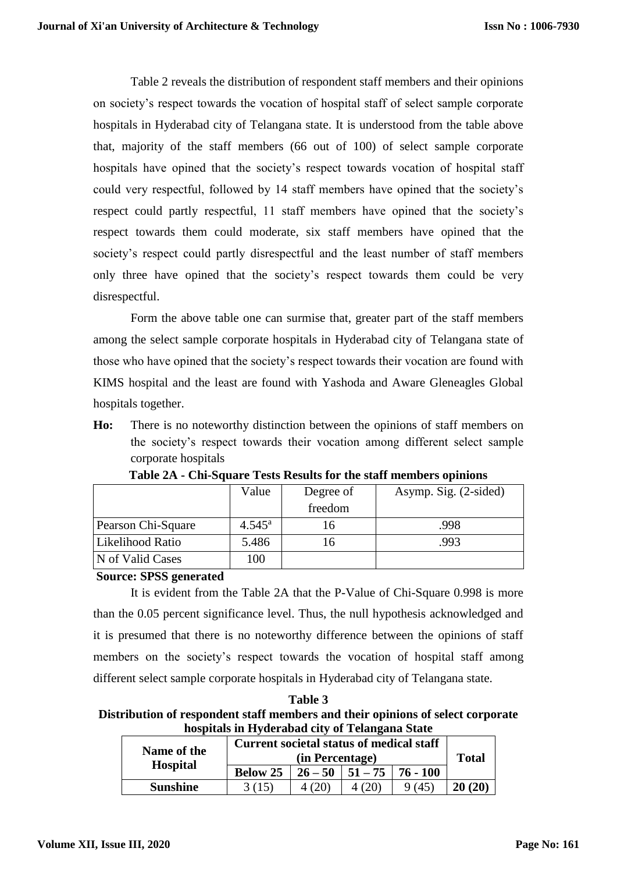Table 2 reveals the distribution of respondent staff members and their opinions on society's respect towards the vocation of hospital staff of select sample corporate hospitals in Hyderabad city of Telangana state. It is understood from the table above that, majority of the staff members (66 out of 100) of select sample corporate hospitals have opined that the society's respect towards vocation of hospital staff could very respectful, followed by 14 staff members have opined that the society's respect could partly respectful, 11 staff members have opined that the society's respect towards them could moderate, six staff members have opined that the society's respect could partly disrespectful and the least number of staff members only three have opined that the society's respect towards them could be very disrespectful.

Form the above table one can surmise that, greater part of the staff members among the select sample corporate hospitals in Hyderabad city of Telangana state of those who have opined that the society's respect towards their vocation are found with KIMS hospital and the least are found with Yashoda and Aware Gleneagles Global hospitals together.

**Ho:** There is no noteworthy distinction between the opinions of staff members on the society's respect towards their vocation among different select sample corporate hospitals

|                    | Value           | Degree of | Asymp. Sig. (2-sided) |
|--------------------|-----------------|-----------|-----------------------|
|                    |                 | freedom   |                       |
| Pearson Chi-Square | $4.545^{\rm a}$ | 16        | .998                  |
| Likelihood Ratio   | 5.486           | 16        | .993                  |
| N of Valid Cases   | 100             |           |                       |

**Table 2A - Chi-Square Tests Results for the staff members opinions**

#### **Source: SPSS generated**

It is evident from the Table 2A that the P-Value of Chi-Square 0.998 is more than the 0.05 percent significance level. Thus, the null hypothesis acknowledged and it is presumed that there is no noteworthy difference between the opinions of staff members on the society's respect towards the vocation of hospital staff among different select sample corporate hospitals in Hyderabad city of Telangana state.

**Table 3 Distribution of respondent staff members and their opinions of select corporate hospitals in Hyderabad city of Telangana State**

| Name of the<br><b>Hospital</b> | <b>Current societal status of medical staff</b>         | <b>Total</b> |  |       |        |
|--------------------------------|---------------------------------------------------------|--------------|--|-------|--------|
|                                | $76 - 100$<br>$51 - 75$<br><b>Below 25</b><br>$26 - 50$ |              |  |       |        |
| <b>Sunshine</b>                | 3 (15)                                                  |              |  | 9(45) | 20(20) |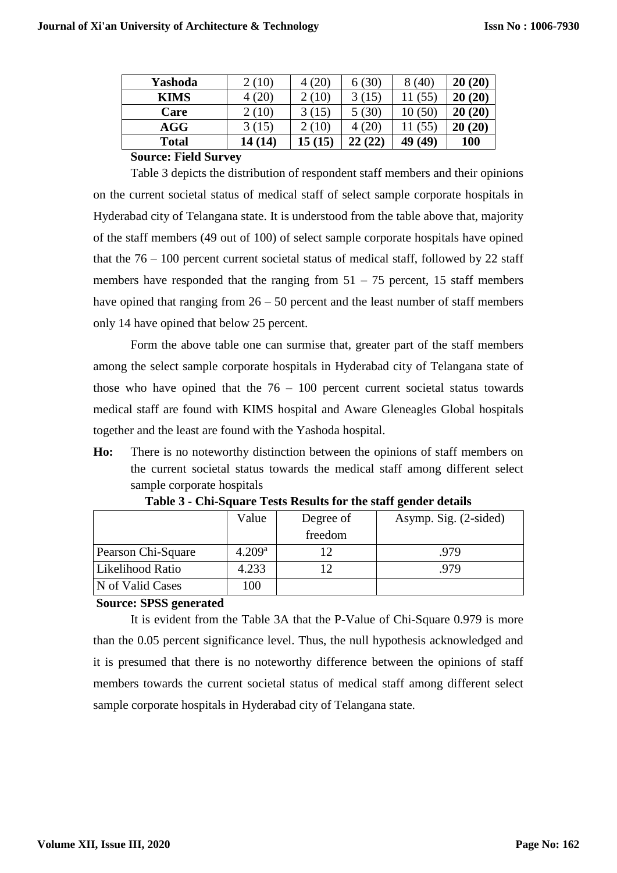| Yashoda      | 2(10)      | $\left( 20\right)$ | (30)                  | (40)         | 20(20)     |
|--------------|------------|--------------------|-----------------------|--------------|------------|
| <b>KIMS</b>  | 20         | $\left(10\right)$  | 15                    | $55^{\circ}$ | 20(20)     |
| Care         | (10)       | (15)               | $^{\prime}30^{\circ}$ | (50)         | 20(20)     |
| AGG          | 3(15)      | (10)               | $20^{\circ}$          | (55)         | 20(20)     |
| <b>Total</b> | (14)<br>ι4 | (15                | (22)<br>22            | (49)         | <b>100</b> |

#### **Source: Field Survey**

Table 3 depicts the distribution of respondent staff members and their opinions on the current societal status of medical staff of select sample corporate hospitals in Hyderabad city of Telangana state. It is understood from the table above that, majority of the staff members (49 out of 100) of select sample corporate hospitals have opined that the  $76 - 100$  percent current societal status of medical staff, followed by 22 staff members have responded that the ranging from  $51 - 75$  percent, 15 staff members have opined that ranging from  $26 - 50$  percent and the least number of staff members only 14 have opined that below 25 percent.

Form the above table one can surmise that, greater part of the staff members among the select sample corporate hospitals in Hyderabad city of Telangana state of those who have opined that the  $76 - 100$  percent current societal status towards medical staff are found with KIMS hospital and Aware Gleneagles Global hospitals together and the least are found with the Yashoda hospital.

**Ho:** There is no noteworthy distinction between the opinions of staff members on the current societal status towards the medical staff among different select sample corporate hospitals

|                    | Value              | Degree of | Asymp. Sig. (2-sided) |
|--------------------|--------------------|-----------|-----------------------|
|                    |                    | freedom   |                       |
| Pearson Chi-Square | 4.209 <sup>a</sup> |           | .979                  |
| Likelihood Ratio   | 4.233              |           | .979                  |
| N of Valid Cases   | 100                |           |                       |
|                    |                    |           |                       |

**Table 3 - Chi-Square Tests Results for the staff gender details**

## **Source: SPSS generated**

It is evident from the Table 3A that the P-Value of Chi-Square 0.979 is more than the 0.05 percent significance level. Thus, the null hypothesis acknowledged and it is presumed that there is no noteworthy difference between the opinions of staff members towards the current societal status of medical staff among different select sample corporate hospitals in Hyderabad city of Telangana state.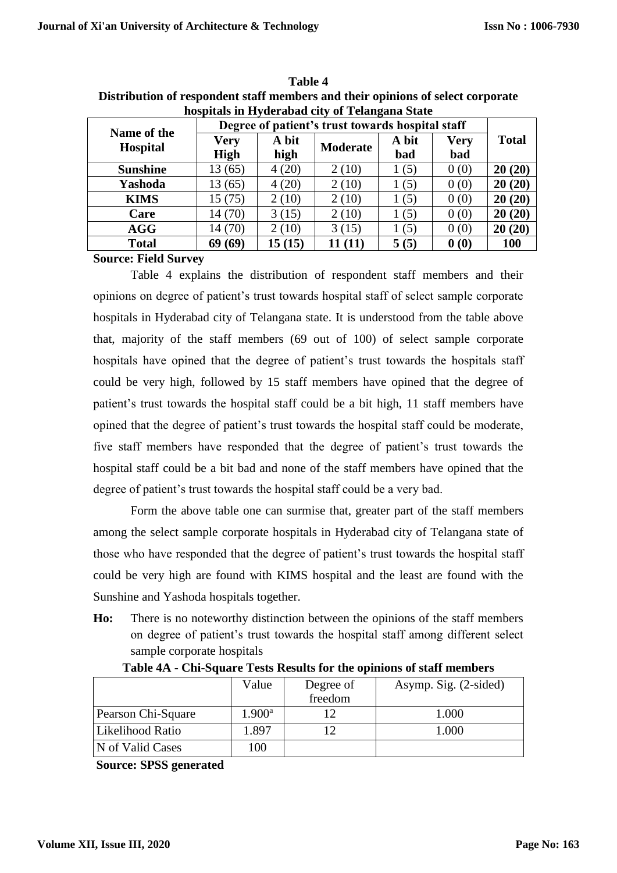|                                |                                                  |               | hospitals in Hyderabad city of Telangana State |              |                    |              |  |
|--------------------------------|--------------------------------------------------|---------------|------------------------------------------------|--------------|--------------------|--------------|--|
|                                | Degree of patient's trust towards hospital staff |               |                                                |              |                    |              |  |
| Name of the<br><b>Hospital</b> | <b>Very</b><br><b>High</b>                       | A bit<br>high | <b>Moderate</b>                                | A bit<br>bad | <b>Very</b><br>bad | <b>Total</b> |  |
| <b>Sunshine</b>                | 13(65)                                           | 4(20)         | 2(10)                                          | 1(5)         | 0(0)               | 20(20)       |  |
| Yashoda                        | 13(65)                                           | 4(20)         | 2(10)                                          | 1(5)         | 0(0)               | 20(20)       |  |
| <b>KIMS</b>                    | 15(75)                                           | 2(10)         | 2(10)                                          | 1(5)         | 0(0)               | 20(20)       |  |
| Care                           | 14(70)                                           | 3(15)         | 2(10)                                          | 1(5)         | 0(0)               | 20(20)       |  |
| <b>AGG</b>                     | 14 (70)                                          | 2(10)         | 3(15)                                          | 1(5)         | 0(0)               | 20(20)       |  |
| <b>Total</b>                   | 69(69)                                           | 15(15)        | 11(11)                                         | 5(5)         | 0(0)               | 100          |  |
| $\sim$<br><b>TILITA</b>        |                                                  |               |                                                |              |                    |              |  |

**Table 4 Distribution of respondent staff members and their opinions of select corporate** 

**Source: Field Survey**

Table 4 explains the distribution of respondent staff members and their opinions on degree of patient's trust towards hospital staff of select sample corporate hospitals in Hyderabad city of Telangana state. It is understood from the table above that, majority of the staff members (69 out of 100) of select sample corporate hospitals have opined that the degree of patient's trust towards the hospitals staff could be very high, followed by 15 staff members have opined that the degree of patient's trust towards the hospital staff could be a bit high, 11 staff members have opined that the degree of patient's trust towards the hospital staff could be moderate, five staff members have responded that the degree of patient's trust towards the hospital staff could be a bit bad and none of the staff members have opined that the degree of patient's trust towards the hospital staff could be a very bad.

Form the above table one can surmise that, greater part of the staff members among the select sample corporate hospitals in Hyderabad city of Telangana state of those who have responded that the degree of patient's trust towards the hospital staff could be very high are found with KIMS hospital and the least are found with the Sunshine and Yashoda hospitals together.

**Ho:** There is no noteworthy distinction between the opinions of the staff members on degree of patient's trust towards the hospital staff among different select sample corporate hospitals

|                    | Value           | Degree of<br>freedom | Asymp. Sig. (2-sided) |
|--------------------|-----------------|----------------------|-----------------------|
| Pearson Chi-Square | $1.900^{\rm a}$ |                      | 1.000                 |
| Likelihood Ratio   | . 897           |                      | 1.000                 |
| N of Valid Cases   | 100             |                      |                       |

**Table 4A - Chi-Square Tests Results for the opinions of staff members** 

**Source: SPSS generated**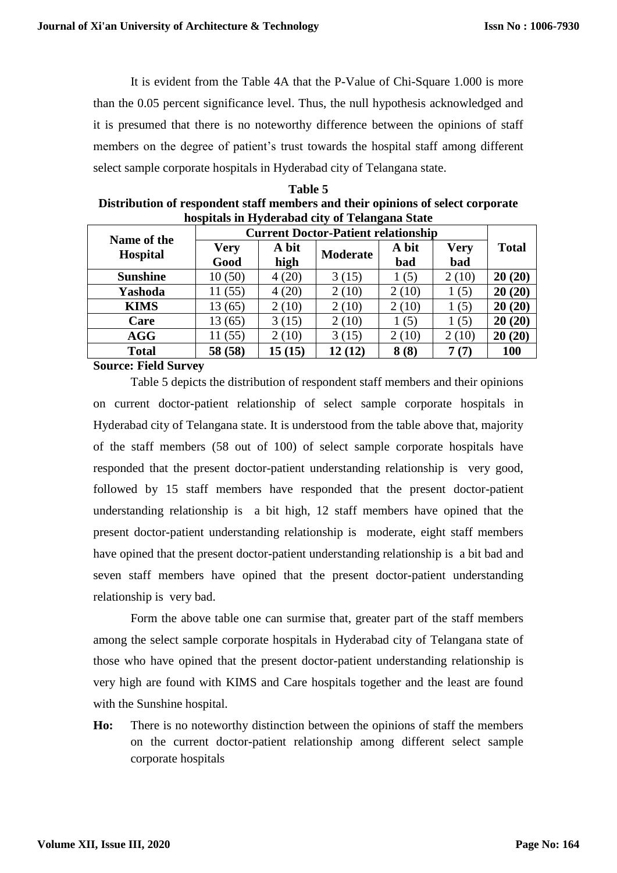It is evident from the Table 4A that the P-Value of Chi-Square 1.000 is more than the 0.05 percent significance level. Thus, the null hypothesis acknowledged and it is presumed that there is no noteworthy difference between the opinions of staff members on the degree of patient's trust towards the hospital staff among different select sample corporate hospitals in Hyderabad city of Telangana state.

| Table 5                                                                         |
|---------------------------------------------------------------------------------|
| Distribution of respondent staff members and their opinions of select corporate |
| hospitals in Hyderabad city of Telangana State                                  |

| <b>Current Doctor-Patient relationship</b><br>Name of the |             |        |                 |       |       |              |
|-----------------------------------------------------------|-------------|--------|-----------------|-------|-------|--------------|
| <b>Hospital</b>                                           | <b>Very</b> | A bit  | <b>Moderate</b> | A bit | Very  | <b>Total</b> |
|                                                           | Good        | high   |                 | bad   | bad   |              |
| <b>Sunshine</b>                                           | 10(50)      | 4(20)  | 3(15)           | (5)   | 2(10) | 20(20)       |
| Yashoda                                                   | (55)        | 4(20)  | 2(10)           | 2(10) | (5)   | (20)<br>20   |
| <b>KIMS</b>                                               | 13 (65)     | 2(10)  | 2(10)           | 2(10) | 1(5)  | (20)<br>20   |
| Care                                                      | 13 (65)     | 3(15)  | 2(10)           | (5)   | 1(5)  | (20)<br>20   |
| <b>AGG</b>                                                | (55)        | 2(10)  | 3(15)           | 2(10) | 2(10) | 20(20)       |
| <b>Total</b>                                              | 58 (58)     | 15(15) | 12(12)          | 8(8)  | (7)   | <b>100</b>   |
|                                                           |             |        |                 |       |       |              |

**Source: Field Survey**

Table 5 depicts the distribution of respondent staff members and their opinions on current doctor-patient relationship of select sample corporate hospitals in Hyderabad city of Telangana state. It is understood from the table above that, majority of the staff members (58 out of 100) of select sample corporate hospitals have responded that the present doctor-patient understanding relationship is very good, followed by 15 staff members have responded that the present doctor-patient understanding relationship is a bit high, 12 staff members have opined that the present doctor-patient understanding relationship is moderate, eight staff members have opined that the present doctor-patient understanding relationship is a bit bad and seven staff members have opined that the present doctor-patient understanding relationship is very bad.

Form the above table one can surmise that, greater part of the staff members among the select sample corporate hospitals in Hyderabad city of Telangana state of those who have opined that the present doctor-patient understanding relationship is very high are found with KIMS and Care hospitals together and the least are found with the Sunshine hospital.

**Ho:** There is no noteworthy distinction between the opinions of staff the members on the current doctor-patient relationship among different select sample corporate hospitals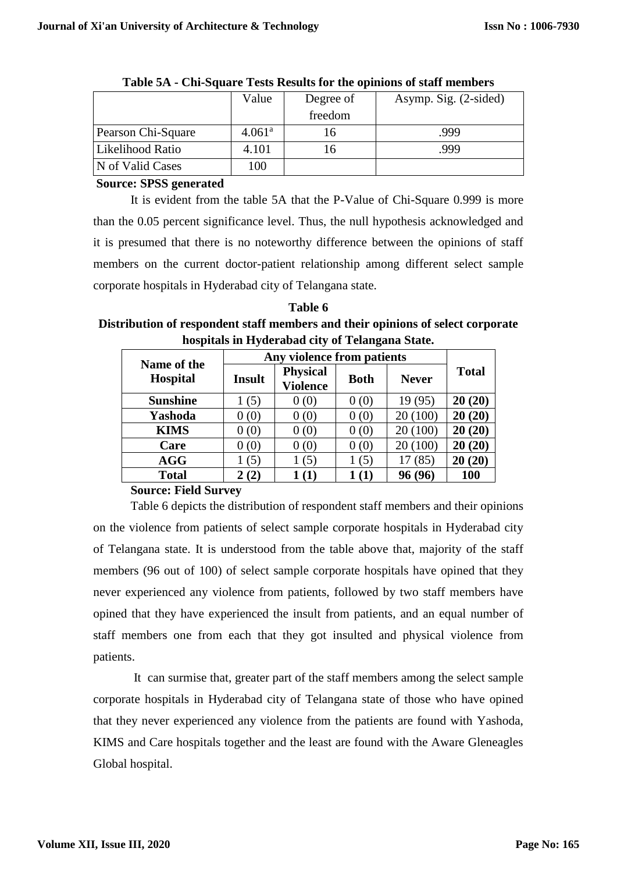| Value              | Degree of | Asymp. Sig. (2-sided) |
|--------------------|-----------|-----------------------|
|                    | freedom   |                       |
| 4.061 <sup>a</sup> |           | .999                  |
| 4.101              |           | .999                  |
| 100                |           |                       |
|                    |           |                       |

**Table 5A - Chi-Square Tests Results for the opinions of staff members** 

## **Source: SPSS generated**

It is evident from the table 5A that the P-Value of Chi-Square 0.999 is more than the 0.05 percent significance level. Thus, the null hypothesis acknowledged and it is presumed that there is no noteworthy difference between the opinions of staff members on the current doctor-patient relationship among different select sample corporate hospitals in Hyderabad city of Telangana state.

**Table 6 Distribution of respondent staff members and their opinions of select corporate hospitals in Hyderabad city of Telangana State.**

| Name of the     | Any violence from patients |                                    |             |              |              |
|-----------------|----------------------------|------------------------------------|-------------|--------------|--------------|
| <b>Hospital</b> | <b>Insult</b>              | <b>Physical</b><br><b>Violence</b> | <b>Both</b> | <b>Never</b> | <b>Total</b> |
| <b>Sunshine</b> | 1(5)                       | 0(0)                               | 0(0)        | 19(95)       | 20(20)       |
| Yashoda         | 0(0)                       | 0(0)                               | 0(0)        | 20 (100)     | 20(20)       |
| <b>KIMS</b>     | 0(0)                       | 0(0)                               | 0(0)        | 20(100)      | 20(20)       |
| Care            | 0(0)                       | 0(0)                               | 0(0)        | 20(100)      | 20(20)       |
| <b>AGG</b>      | (5)                        | 1(5)                               | 1(5)        | (85)         | 20(20)       |
| <b>Total</b>    | 2(2)                       | (1)                                | 1 (1)       | 96 (96       | 100          |

## **Source: Field Survey**

Table 6 depicts the distribution of respondent staff members and their opinions on the violence from patients of select sample corporate hospitals in Hyderabad city of Telangana state. It is understood from the table above that, majority of the staff members (96 out of 100) of select sample corporate hospitals have opined that they never experienced any violence from patients, followed by two staff members have opined that they have experienced the insult from patients, and an equal number of staff members one from each that they got insulted and physical violence from patients.

It can surmise that, greater part of the staff members among the select sample corporate hospitals in Hyderabad city of Telangana state of those who have opined that they never experienced any violence from the patients are found with Yashoda, KIMS and Care hospitals together and the least are found with the Aware Gleneagles Global hospital.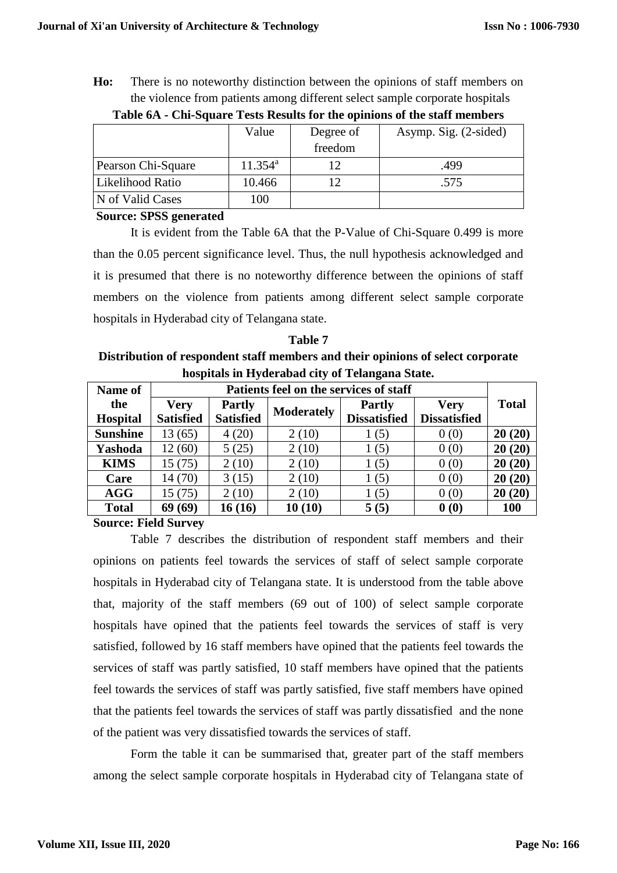**Ho:** There is no noteworthy distinction between the opinions of staff members on the violence from patients among different select sample corporate hospitals

|                    | Value            | Degree of | Asymp. Sig. (2-sided) |
|--------------------|------------------|-----------|-----------------------|
|                    |                  | freedom   |                       |
| Pearson Chi-Square | $11.354^{\rm a}$ |           | .499                  |
| Likelihood Ratio   | 10.466           |           | .575                  |
| N of Valid Cases   | 100              |           |                       |

**Table 6A - Chi-Square Tests Results for the opinions of the staff members**

**Source: SPSS generated** 

It is evident from the Table 6A that the P-Value of Chi-Square 0.499 is more than the 0.05 percent significance level. Thus, the null hypothesis acknowledged and it is presumed that there is no noteworthy difference between the opinions of staff members on the violence from patients among different select sample corporate hospitals in Hyderabad city of Telangana state.

**Table 7 Distribution of respondent staff members and their opinions of select corporate hospitals in Hyderabad city of Telangana State.**

| Name of         | Patients feel on the services of staff |                  |                   |                     |                     |              |
|-----------------|----------------------------------------|------------------|-------------------|---------------------|---------------------|--------------|
| the             | <b>Very</b>                            | <b>Partly</b>    | <b>Moderately</b> | <b>Partly</b>       | <b>Very</b>         | <b>Total</b> |
| <b>Hospital</b> | <b>Satisfied</b>                       | <b>Satisfied</b> |                   | <b>Dissatisfied</b> | <b>Dissatisfied</b> |              |
| <b>Sunshine</b> | 13 (65)                                | 4(20)            | 2(10)             | (5)                 | 0(0)                | 20(20)       |
| Yashoda         | 12 (60)                                | 5(25)            | 2(10)             | (5)                 | 0(0)                | 20(20)       |
| <b>KIMS</b>     | 15 (75)                                | 2(10)            | 2(10)             | 1(5)                | 0(0)                | 20(20)       |
| Care            | 14(70)                                 | 3(15)            | 2(10)             | 1(5)                | 0(0)                | 20(20)       |
| <b>AGG</b>      | 15 (75)                                | 2(10)            | 2(10)             | 1(5)                | 0(0)                | 20(20)       |
| <b>Total</b>    | 69(69)                                 | 16 (16)          | 10(10)            | 5(5)                | 0(0)                | <b>100</b>   |

**Source: Field Survey**

Table 7 describes the distribution of respondent staff members and their opinions on patients feel towards the services of staff of select sample corporate hospitals in Hyderabad city of Telangana state. It is understood from the table above that, majority of the staff members (69 out of 100) of select sample corporate hospitals have opined that the patients feel towards the services of staff is very satisfied, followed by 16 staff members have opined that the patients feel towards the services of staff was partly satisfied, 10 staff members have opined that the patients feel towards the services of staff was partly satisfied, five staff members have opined that the patients feel towards the services of staff was partly dissatisfied and the none of the patient was very dissatisfied towards the services of staff.

Form the table it can be summarised that, greater part of the staff members among the select sample corporate hospitals in Hyderabad city of Telangana state of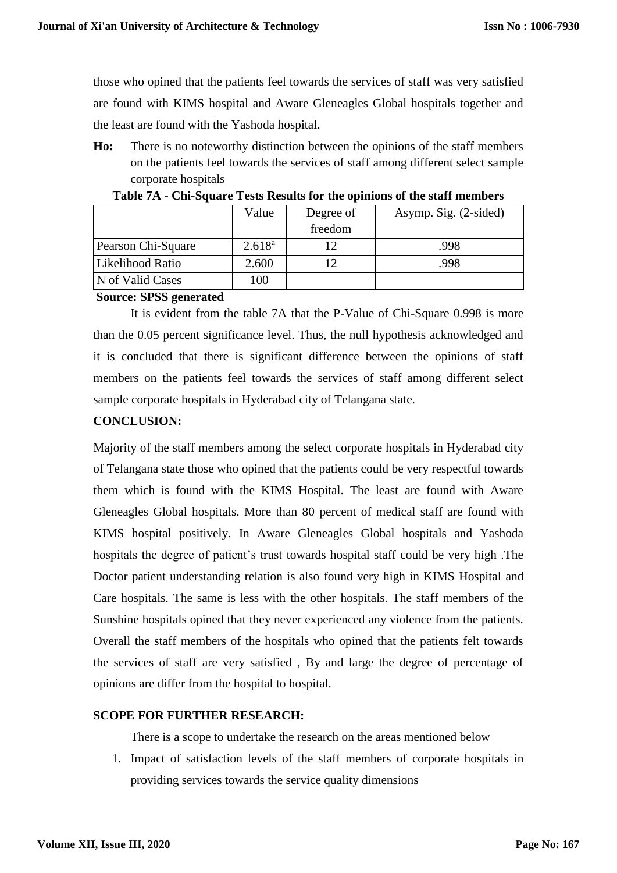those who opined that the patients feel towards the services of staff was very satisfied are found with KIMS hospital and Aware Gleneagles Global hospitals together and the least are found with the Yashoda hospital.

**Ho:** There is no noteworthy distinction between the opinions of the staff members on the patients feel towards the services of staff among different select sample corporate hospitals

|                    | Value       | Degree of | Asymp. Sig. (2-sided) |  |
|--------------------|-------------|-----------|-----------------------|--|
|                    |             | freedom   |                       |  |
| Pearson Chi-Square | $2.618^{a}$ |           | .998                  |  |
| Likelihood Ratio   | 2.600       |           | .998                  |  |
| N of Valid Cases   | 100         |           |                       |  |

**Table 7A - Chi-Square Tests Results for the opinions of the staff members** 

## **Source: SPSS generated**

It is evident from the table 7A that the P-Value of Chi-Square 0.998 is more than the 0.05 percent significance level. Thus, the null hypothesis acknowledged and it is concluded that there is significant difference between the opinions of staff members on the patients feel towards the services of staff among different select sample corporate hospitals in Hyderabad city of Telangana state.

# **CONCLUSION:**

Majority of the staff members among the select corporate hospitals in Hyderabad city of Telangana state those who opined that the patients could be very respectful towards them which is found with the KIMS Hospital. The least are found with Aware Gleneagles Global hospitals. More than 80 percent of medical staff are found with KIMS hospital positively. In Aware Gleneagles Global hospitals and Yashoda hospitals the degree of patient's trust towards hospital staff could be very high .The Doctor patient understanding relation is also found very high in KIMS Hospital and Care hospitals. The same is less with the other hospitals. The staff members of the Sunshine hospitals opined that they never experienced any violence from the patients. Overall the staff members of the hospitals who opined that the patients felt towards the services of staff are very satisfied , By and large the degree of percentage of opinions are differ from the hospital to hospital.

## **SCOPE FOR FURTHER RESEARCH:**

There is a scope to undertake the research on the areas mentioned below

1. Impact of satisfaction levels of the staff members of corporate hospitals in providing services towards the service quality dimensions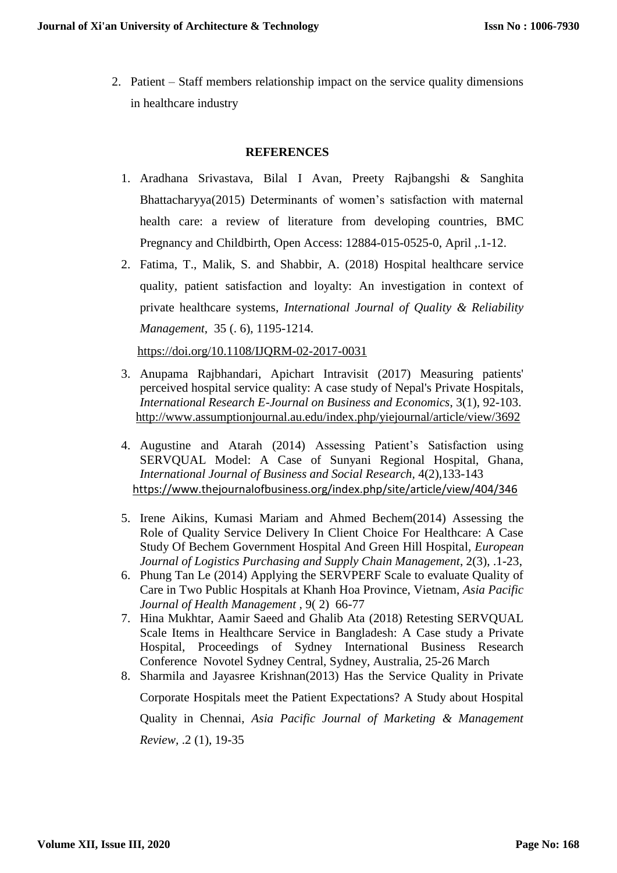2. Patient – Staff members relationship impact on the service quality dimensions in healthcare industry

## **REFERENCES**

- 1. [Aradhana Srivastava,](https://bmcpregnancychildbirth.biomedcentral.com/articles/10.1186/s12884-015-0525-0#auth-1) [Bilal I Avan,](https://bmcpregnancychildbirth.biomedcentral.com/articles/10.1186/s12884-015-0525-0#auth-2) [Preety Rajbangshi](https://bmcpregnancychildbirth.biomedcentral.com/articles/10.1186/s12884-015-0525-0#auth-3) & [Sanghita](https://bmcpregnancychildbirth.biomedcentral.com/articles/10.1186/s12884-015-0525-0#auth-4)  [Bhattacharyya\(](https://bmcpregnancychildbirth.biomedcentral.com/articles/10.1186/s12884-015-0525-0#auth-4)2015) Determinants of women's satisfaction with maternal health care: a review of literature from developing countries, BMC Pregnancy and Childbirth, Open Access: 12884-015-0525-0, April ,.1-12.
- 2. [Fatima, T.,](https://www.emerald.com/insight/search?q=Taqdees%20Fatima) [Malik, S.](https://www.emerald.com/insight/search?q=Shahab%20Alam%20Malik) and [Shabbir, A.](https://www.emerald.com/insight/search?q=Asma%20Shabbir) (2018) Hospital healthcare service quality, patient satisfaction and loyalty: An investigation in context of private healthcare systems, *[International Journal of Quality & Reliability](https://www.emerald.com/insight/publication/issn/0265-671X)  [Management](https://www.emerald.com/insight/publication/issn/0265-671X)*, 35 (. 6), 1195-1214.

<https://doi.org/10.1108/IJQRM-02-2017-0031>

- 3. Anupama Rajbhandari, Apichart Intravisit (2017) Measuring patients' perceived hospital service quality: A case study of Nepal's Private Hospitals, *International Research E-Journal on Business and Economics*, 3(1), 92-103. <http://www.assumptionjournal.au.edu/index.php/yiejournal/article/view/3692>
- 4. Augustine and Atarah (2014) Assessing Patient's Satisfaction using SERVQUAL Model: A Case of Sunyani Regional Hospital, Ghana, *International Journal of Business and Social Research,* 4(2),133-143 <https://www.thejournalofbusiness.org/index.php/site/article/view/404/346>
- 5. Irene Aikins, Kumasi Mariam and Ahmed Bechem(2014) Assessing the Role of Quality Service Delivery In Client Choice For Healthcare: A Case Study Of Bechem Government Hospital And Green Hill Hospital, *European Journal of Logistics Purchasing and Supply Chain Management*, 2(3), .1-23,
- 6. Phung Tan Le (2014) Applying the SERVPERF Scale to evaluate Quality of Care in Two Public Hospitals at Khanh Hoa Province, Vietnam, *Asia Pacific Journal of Health Management* , 9( 2) 66-77
- 7. Hina Mukhtar, Aamir Saeed and Ghalib Ata (2018) Retesting SERVQUAL Scale Items in Healthcare Service in Bangladesh: A Case study a Private Hospital, Proceedings of Sydney International Business Research Conference Novotel Sydney Central, Sydney, Australia, 25-26 March
- 8. Sharmila and Jayasree Krishnan(2013) Has the Service Quality in Private Corporate Hospitals meet the Patient Expectations? A Study about Hospital Quality in Chennai, *Asia Pacific Journal of Marketing & Management Review,* .2 (1), 19-35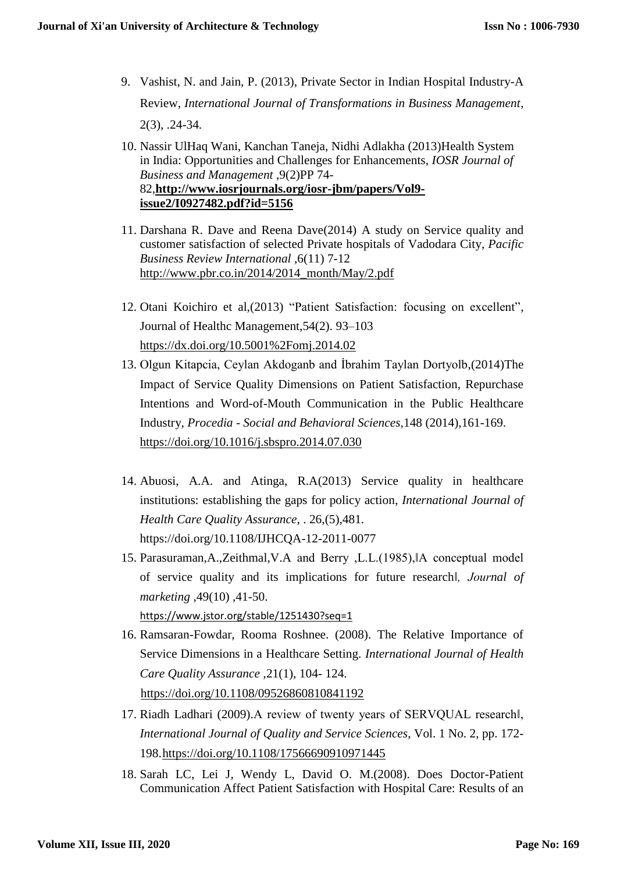- 9. Vashist, N. and Jain, P. (2013), Private Sector in Indian Hospital Industry-A Review, *International Journal of Transformations in Business Management*, 2(3), .24-34.
- 10. Nassir UlHaq Wani, Kanchan Taneja, Nidhi Adlakha (2013)Health System in India: Opportunities and Challenges for Enhancements, *IOSR Journal of Business and Management* ,9(2)PP 74- 82,**[http://www.iosrjournals.org/iosr-jbm/papers/Vol9](http://www.iosrjournals.org/iosr-jbm/papers/Vol9-issue2/I0927482.pdf?id=5156) issue2/I0927482.pdf?id=5156**
- 11. Darshana R. Dave and Reena Dave(2014) A study on Service quality and customer satisfaction of selected Private hospitals of Vadodara City*, Pacific Business Review International* ,6(11) 7-12 [http://www.pbr.co.in/2014/2014\\_month/May/2.pdf](http://www.pbr.co.in/2014/2014_month/May/2.pdf)
- 12. Otani Koichiro et al,(2013) "Patient Satisfaction: focusing on excellent", Journal of Healthc Management,54(2). 93–103 <https://dx.doi.org/10.5001%2Fomj.2014.02>
- 13. Olgun Kitapcia, Ceylan Akdoganb and İbrahim Taylan Dortyolb,(2014)The Impact of Service Quality Dimensions on Patient Satisfaction, Repurchase Intentions and Word-of-Mouth Communication in the Public Healthcare Industry, *Procedia - Social and Behavioral Sciences,*148 (2014),161-169. <https://doi.org/10.1016/j.sbspro.2014.07.030>
- 14. Abuosi, A.A. and Atinga, R.A(2013) Service quality in healthcare institutions: establishing the gaps for policy action, *International Journal of Health Care Quality Assurance,* . 26,(5),481. https://doi.org/10.1108/IJHCQA-12-2011-0077
- 15. Parasuraman,A.,Zeithmal,V.A and Berry ,L.L.(1985),‖A conceptual model of service quality and its implications for future research*‖, Journal of marketing* ,49(10) ,41-50.

<https://www.jstor.org/stable/1251430?seq=1>

- 16. Ramsaran-Fowdar, Rooma Roshnee. (2008). The Relative Importance of Service Dimensions in a Healthcare Setting. *International Journal of Health Care Quality Assurance ,*21(1), 104- 124. <https://doi.org/10.1108/09526860810841192>
- 17. Riadh Ladhari (2009).A review of twenty years of SERVQUAL research‖, *International Journal of Quality and Service Sciences*, Vol. 1 No. 2, pp. 172- 198[.https://doi.org/10.1108/17566690910971445](https://doi.org/10.1108/17566690910971445)
- 18. Sarah LC, Lei J, Wendy L, David O. M.(2008). Does Doctor-Patient Communication Affect Patient Satisfaction with Hospital Care: Results of an